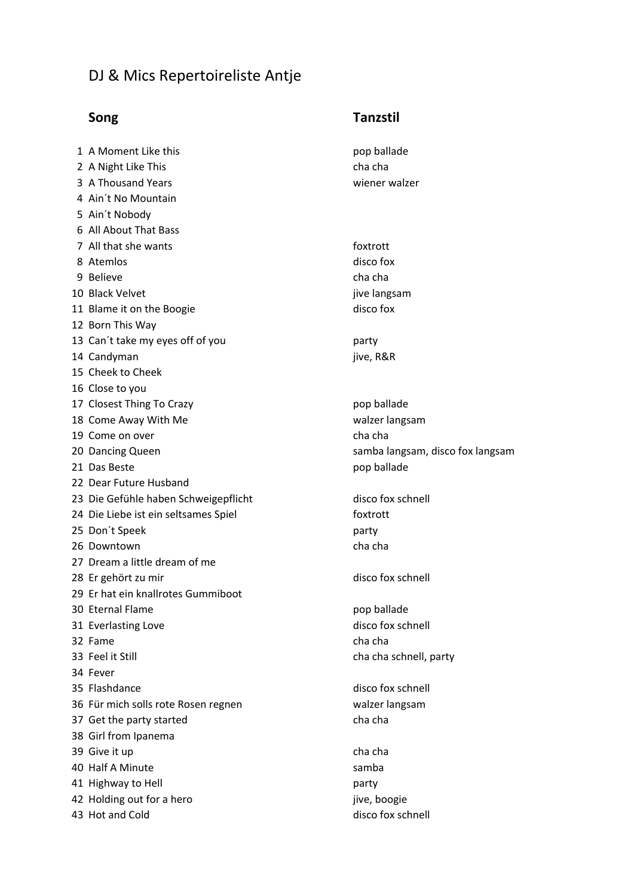## DJ & Mics Repertoireliste Antje

## 1 A Moment Like this pop ballade 2 A Night Like This cha cha 3 A Thousand Years **Washington** Weight and Wear and Wear and Wear and Wear and Wear and Wear and Wear and Wear and Wear and Wear and Wear and Wear and Wear and Wear and Wear and Wear and Wear and Wear and Wear and Wear and 4 Ain't No Mountain 5 Ain't Nobody 6 All About That Bass 7 All that she wants **foxtrott** 8 Atemlos disco fox 9 Believe cha cha 10 Black Velvet **in the set of the set of the set of the set of the set of the set of the set of the set of the set of the set of the set of the set of the set of the set of the set of the set of the set of the set of the** 11 Blame it on the Boogie disco fox 12 Born This Way 13 Can't take my eyes off of you party 14 Candyman jive, R&R 15 Cheek to Cheek 16 Close to you 17 Closest Thing To Crazy **pop Sallade** by pop ballade 18 Come Away With Me walzer langsam 19 Come on over extended the change of the change of the change of the change of the change of the change of the change of the change of the change of the change of the change of the change of the change of the change of t 20 Dancing Queen samba langsam, disco fox langsam 21 Das Beste **pop** ballade 22 Dear Future Husband 23 Die Gefühle haben Schweigepflicht disco fox schnell 24 Die Liebe ist ein seltsames Spiel foxtrott 25 Don't Speek party 26 Downtown cha cha 27 Dream a little dream of me 28 Er gehört zu mir disco fox schnell 29 Er hat ein knallrotes Gummiboot 30 Eternal Flame pop ballade 31 Everlasting Love disco fox schnell 32 Fame cha cha 33 Feel it Still **Still** Character Controller Character Character Character Character Character Character Character Character Character Character Character Character Character Character Character Character Character Charac 34 Fever 35 Flashdance disco fox schnell 36 Für mich solls rote Rosen regnen walzer langsam 37 Get the party started charges and the charges of the charge charges of the cha 38 Girl from Ipanema 39 Give it up and the character of the character of the character of the character of the character of the cha 40 Half A Minute samba 41 Highway to Hell **party** party 42 Holding out for a hero in the same state of the state iive, boogie 43 Hot and Cold and Cold and Cold and Cold and Cold and Cold and Cold and Cold and Cold and Cold and Cold and Cold and Cold and Cold and Cold and Cold and Cold and Cold and Cold and Cold and Cold and Cold and Cold and Cold

## **Song Cong Cong Cong Cong Cong Cong Cong Cong Cong Cong Cong Cong Cong Cong Cong Cong Cong Cong Cong Cong Cong Cong Cong Cong Cong Cong Cong Cong Cong Cong Cong**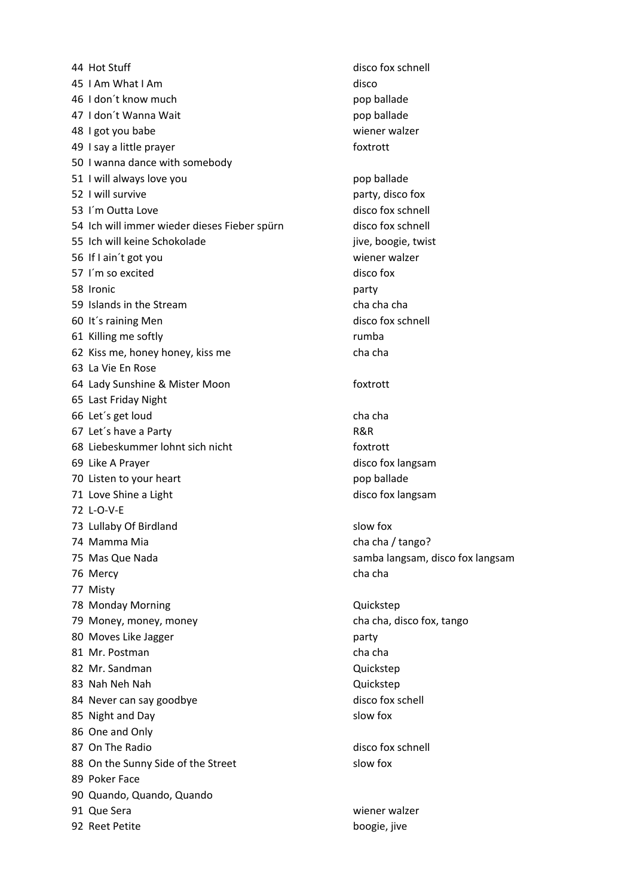44 Hot Stuff disco fox schnell 45 I Am What I Am disco 46 I don't know much pop ballade 47 I don't Wanna Wait contract the contract of the pop ballade 48 I got you babe with the set of the set of the wiener walzer 49 I say a little prayer states and the state of the foxtrott 50 I wanna dance with somebody 51 I will always love you contained by the pop ballade 52 I will survive **party**, disco fox 53 I'm Outta Love disco fox schnell 54 Ich will immer wieder dieses Fieber spürn disco fox schnell 55 Ich will keine Schokolade in the state of the state in the state in the state in the state in the state in the state in the state in the state in the state in the state in the state in the state in the state in the stat 56 If I ain't got you contained the state of the wiener walzer 57 I'm so excited disco fox 58 Ironic party 59 Islands in the Stream character character character character character character character character character character character character character character character character character character character charact 60 It's raining Men disco fox schnell 61 Killing me softly and the state of the state of the state of the state of the state of the state of the state of the state of the state of the state of the state of the state of the state of the state of the state of th 62 Kiss me, honey honey, kiss me 63 La Vie En Rose 64 Lady Sunshine & Mister Moon foxtrott 65 Last Friday Night 66 Let's get loud cha cha cha cha 67 Let's have a Party **R&R** 68 Liebeskummer lohnt sich nicht foxtrott 69 Like A Prayer disco fox langsam 70 Listen to your heart pop ballade 71 Love Shine a Light disco fox langsam 72 L-O-V-E 73 Lullaby Of Birdland slow fox 74 Mamma Mia cha (ango? 75 Mas Que Nada samba langsam, disco fox langsam 76 Mercy cha cha 77 Misty 78 Monday Morning **Construction Construction** Quickstep 79 Money, money, money cha cha, disco fox, tango 80 Moves Like Jagger party 81 Mr. Postman cha cha 82 Mr. Sandman Quickstep 83 Nah Neh Nah Quickstep 84 Never can say goodbye disco fox schell 85 Night and Day slow fox 86 One and Only 87 On The Radio and The Radio disco fox schnell 88 On the Sunny Side of the Street slow fox 89 Poker Face 90 Quando, Quando, Quando 91 Que Sera wiener walzer 92 Reet Petite boogie, jive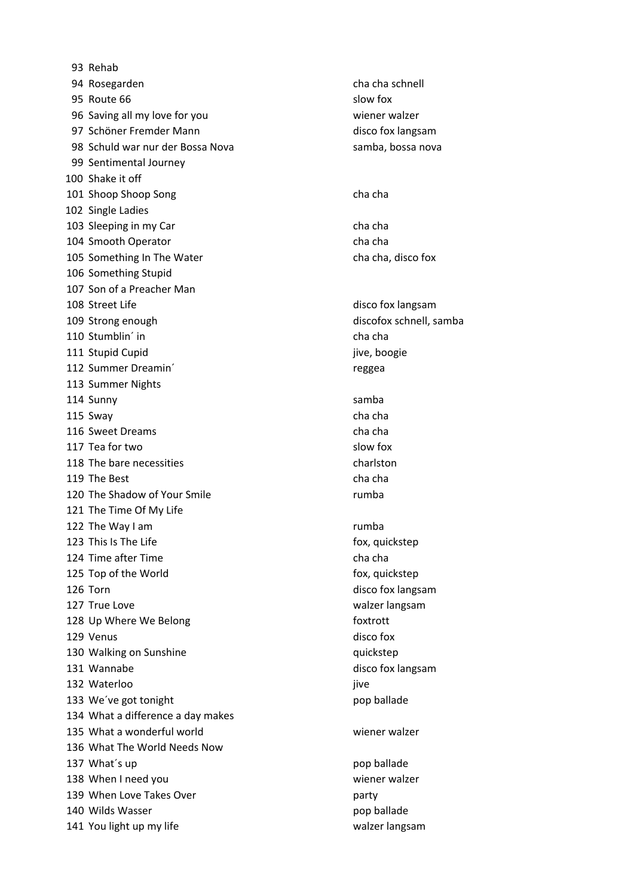93 Rehab 94 Rosegarden cha cha schnell 95 Route 66 slow fox 96 Saving all my love for you wiener walzer 97 Schöner Fremder Mann and the control of the disco fox langsam 98 Schuld war nur der Bossa Nova subsetted and samba, bossa nova 99 Sentimental Journey 100 Shake it off 101 Shoop Shoop Song characters and the change of the change of the change of the change of the change of the cha 102 Single Ladies 103 Sleeping in my Car cha cha 104 Smooth Operator cha cha cha cha 105 Something In The Water **charges** cha cha, disco fox 106 Something Stupid 107 Son of a Preacher Man 108 Street Life disco fox langsam 109 Strong enough discofox schnell, samba 110 Stumblin´ in cha cha 111 Stupid Cupid **in the set of the set of the set of the set of the set of the set of the set of the set of the set of the set of the set of the set of the set of the set of the set of the set of the set of the set of the** 112 Summer Dreamin' and the contract of the contract of the contract of the contract of the contract of the contract of the contract of the contract of the contract of the contract of the contract of the contract of the co 113 Summer Nights 114 Sunny samba 115 Sway cha cha 116 Sweet Dreams cha cha 117 Tea for two slow fox 118 The bare necessities example to the charlston 119 The Best character character character character character character character character character character character character character character character character character character character character character 120 The Shadow of Your Smile rumba 121 The Time Of My Life 122 The Way I am and the Way I am a structure of the Way I am a structure of the Tumba 123 This Is The Life **fox**, quickstep 124 Time after Time character Channel Channel Channel Channel Channel Channel Channel Channel Channel Channel 125 Top of the World **fox**, quickstep 126 Torn disco fox langsam 127 True Love walzer langsam 128 Up Where We Belong foxtrott 129 Venus disco fox 130 Walking on Sunshine and Theorem and Theorem and Theorem and Theorem and Theorem and Theorem and Theorem and Theorem and Theorem and Theorem and Theorem and Theorem and Theorem and Theorem and Theorem and Theorem and Th 131 Wannabe disco fox langsam 132 Waterloo iyo ku marka ah ah iyo ku marka ah iyo ku marka ah iyo ku marka ah iyo ku marka ah iyo ku marka a 133 We've got tonight controlled to the pop ballade 134 What a difference a day makes 135 What a wonderful world and the control wiener walzer 136 What The World Needs Now 137 What's up expected to the contract of the pop ballade 138 When I need you wiener walzer 139 When Love Takes Over **party** party 140 Wilds Wasser **pop ballade** 141 You light up my life wall as a set of the walzer langsam